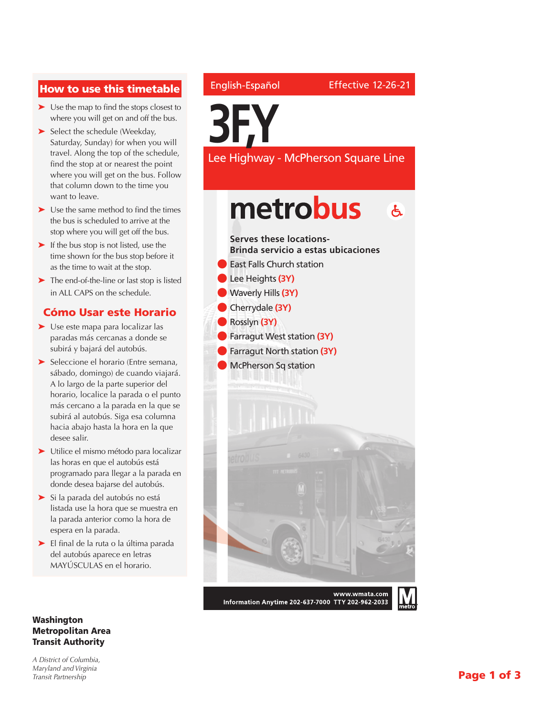### How to use this timetable

- ➤ Use the map to find the stops closest to where you will get on and off the bus.
- ➤ Select the schedule (Weekday, Saturday, Sunday) for when you will travel. Along the top of the schedule, find the stop at or nearest the point where you will get on the bus. Follow that column down to the time you want to leave.
- ➤ Use the same method to find the times the bus is scheduled to arrive at the stop where you will get off the bus.
- ➤ If the bus stop is not listed, use the time shown for the bus stop before it as the time to wait at the stop.
- ➤ The end-of-the-line or last stop is listed in ALL CAPS on the schedule.

### Cómo Usar este Horario

- ➤ Use este mapa para localizar las paradas más cercanas a donde se subirá y bajará del autobús.
- ➤ Seleccione el horario (Entre semana, sábado, domingo) de cuando viajará. A lo largo de la parte superior del horario, localice la parada o el punto más cercano a la parada en la que se subirá al autobús. Siga esa columna hacia abajo hasta la hora en la que desee salir.
- ➤ Utilice el mismo método para localizar las horas en que el autobús está programado para llegar a la parada en donde desea bajarse del autobús.
- ➤ Si la parada del autobús no está listada use la hora que se muestra en la parada anterior como la hora de espera en la parada.
- ➤ El final de la ruta o la última parada del autobús aparece en letras MAYÚSCULAS en el horario.

#### Washington Metropolitan Area Transit Authority

*A District of Columbia, Maryland and Virginia Transit Partnership*

### English-Español

**3F,Y** Lee Highway - McPherson Square Line

# metrobus  $\mathbf{A}$



Information Anytime 202-637-7000 TTY 202-962-2033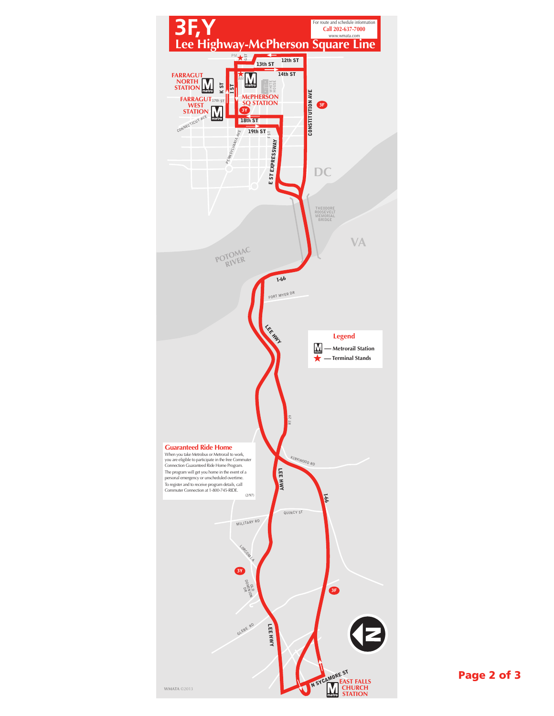